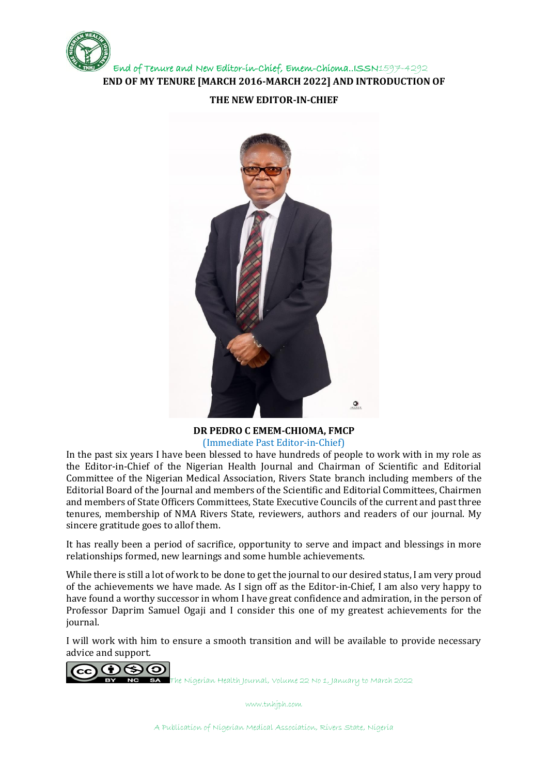

## **THE NEW EDITOR-IN-CHIEF**



## **DR PEDRO C EMEM-CHIOMA, FMCP** (Immediate Past Editor-in-Chief)

In the past six years I have been blessed to have hundreds of people to work with in my role as the Editor-in-Chief of the Nigerian Health Journal and Chairman of Scientific and Editorial Committee of the Nigerian Medical Association, Rivers State branch including members of the Editorial Board of the Journal and members of the Scientific and Editorial Committees, Chairmen and members of State Officers Committees, State Executive Councils of the current and past three tenures, membership of NMA Rivers State, reviewers, authors and readers of our journal. My sincere gratitude goes to allof them.

It has really been a period of sacrifice, opportunity to serve and impact and blessings in more relationships formed, new learnings and some humble achievements.

While there is still a lot of work to be done to get the journal to our desired status, I am very proud of the achievements we have made. As I sign off as the Editor-in-Chief, I am also very happy to have found a worthy successor in whom I have great confidence and admiration, in the person of Professor Daprim Samuel Ogaji and I consider this one of my greatest achievements for the journal.

I will work with him to ensure a smooth transition and will be available to provide necessary advice and support.



The Nigerian Health Journal, Volume 22 No 1, January to March 2022

www.tnhjph.com